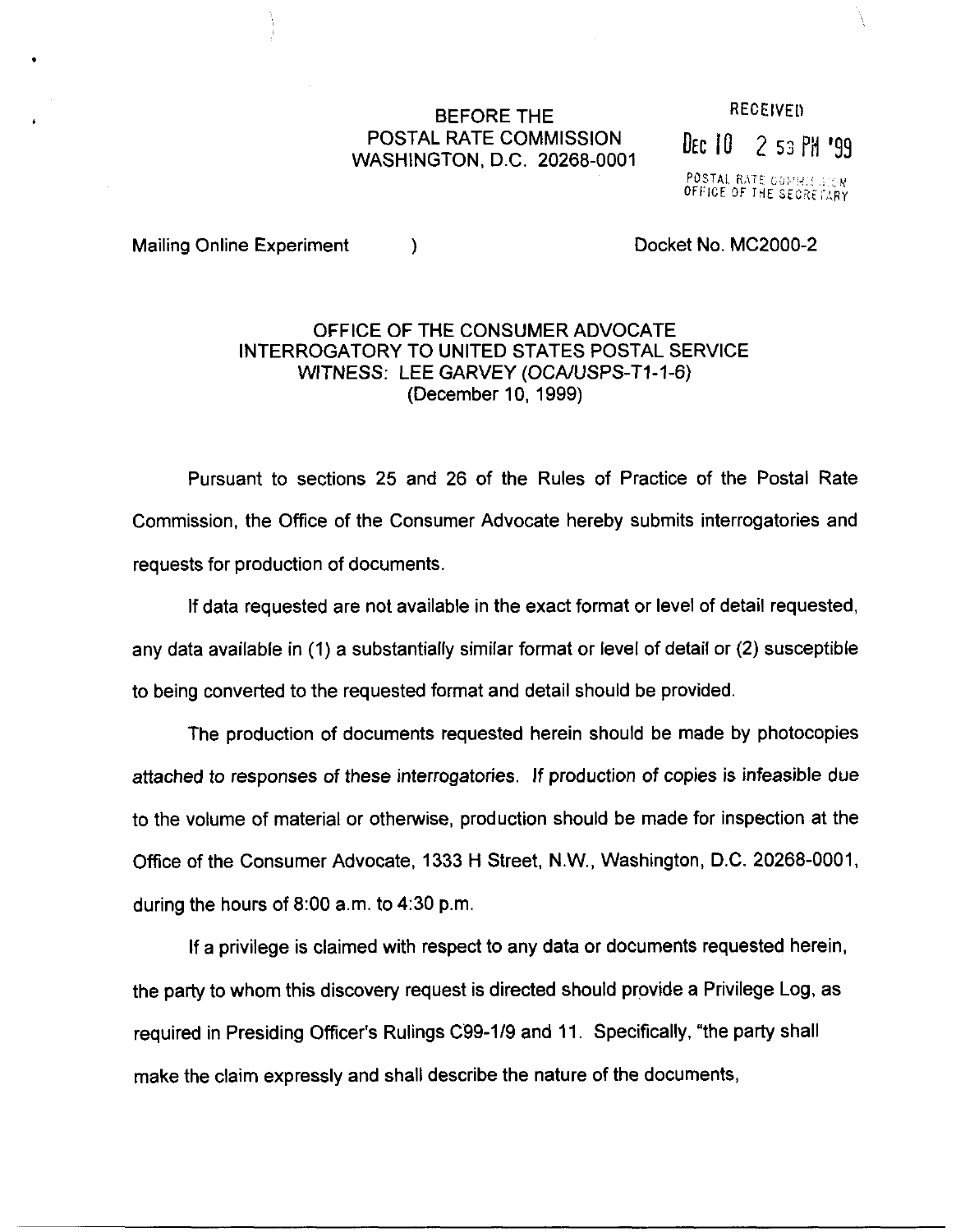# BEFORE THE RECEIVED POSTAL RATE COMMISSION POSTAL RATE COMMISSION<br>WASHINGTON, D.C. 20268-0001

POSTAL RATE COMMISSION

Mailing Online Experiment (a) and the control of Docket No. MC2000-2

.

## OFFICE OF THE CONSUMER ADVOCATE INTERROGATORY TO UNITED STATES POSTAL SERVICE WITNESS: LEE GARVEY (OCA/USPS-T1-1-6) (December 10, 1999)

Pursuant to sections 25 and 26 of the Rules of Practice of the Postal Rate Commission, the Office of the Consumer Advocate hereby submits interrogatories and requests for production of documents.

If data requested are not available in the exact format or level of detail requested, any data available in (1) a substantially similar format or level of detail or (2) susceptible to being converted to the requested format and detail should be provided.

The production of documents requested herein should be made by photocopies attached to responses of these interrogatories, If production of copies is infeasible due to the volume of material or otherwise, production should be made for inspection at the Office of the Consumer Advocate, 1333 H Street, N.W., Washington, D.C. 20268-0001, during the hours of 8:00 a.m. to 4:30 p.m.

If a privilege is claimed with respect to any data or documents requested herein, the party to whom this discovery request is directed should provide a Privilege Log, as required in Presiding Officer's Rulings C99-1/9 and 11. Specifically, "the party shall make the claim expressly and shall describe the nature of the documents,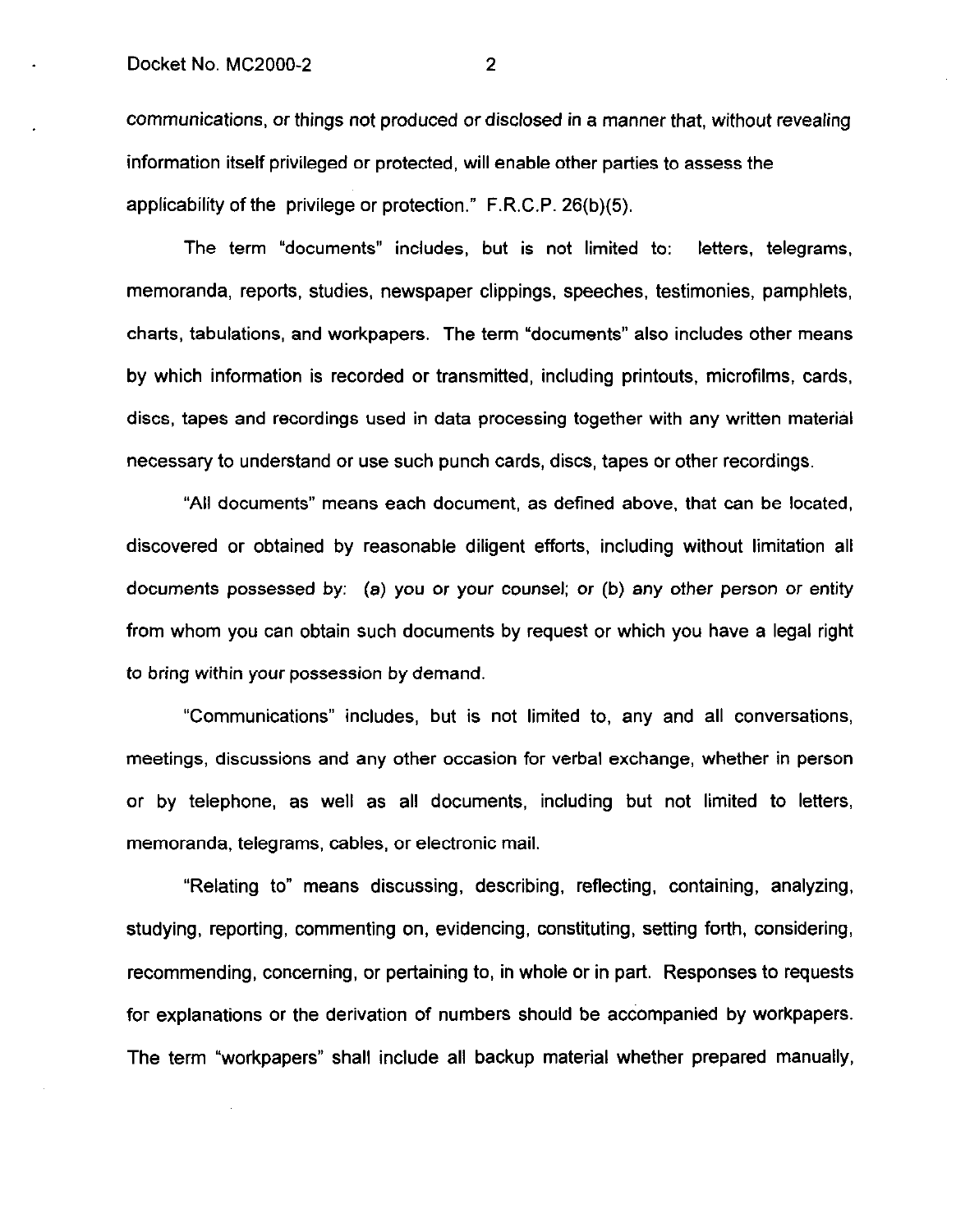communications, or things not produced or disclosed in a manner that, without revealing information itself privileged or protected, will enable other parties to assess the applicability of the privilege or protection." F.R.C.P. 26(b)(5).

The term "documents" includes, but is not limited to: letters, telegrams, memoranda, reports, studies, newspaper clippings, speeches, testimonies, pamphlets, charts, tabulations, and workpapers. The term "documents" also includes other means by which information is recorded or transmitted, including printouts, microfilms, cards, discs, tapes and recordings used in data processing together with any written material necessary to understand or use such punch cards, discs, tapes or other recordings.

"All documents" means each document, as defined above, that can be located, discovered or obtained by reasonable diligent efforts, including without limitation all documents possessed by: (a) you or your counsel; or (b) any other person or entity from whom you can obtain such documents by request or which you have a legal right to bring within your possession by demand.

"Communications" includes, but is not limited to, any and all conversations, meetings, discussions and any other occasion for verbal exchange, whether in person or by telephone, as well as all documents, including but not limited to letters, memoranda, telegrams, cables, or electronic mail.

"Relating to" means discussing, describing, reflecting, containing, analyzing, studying, reporting, commenting on, evidencing, constituting, setting forth, considering, recommending, concerning, or pertaining to, in whole or in part. Responses to requests for explanations or the derivation of numbers should be accompanied by workpapers. The term "workpapers" shall include all backup material whether prepared manually,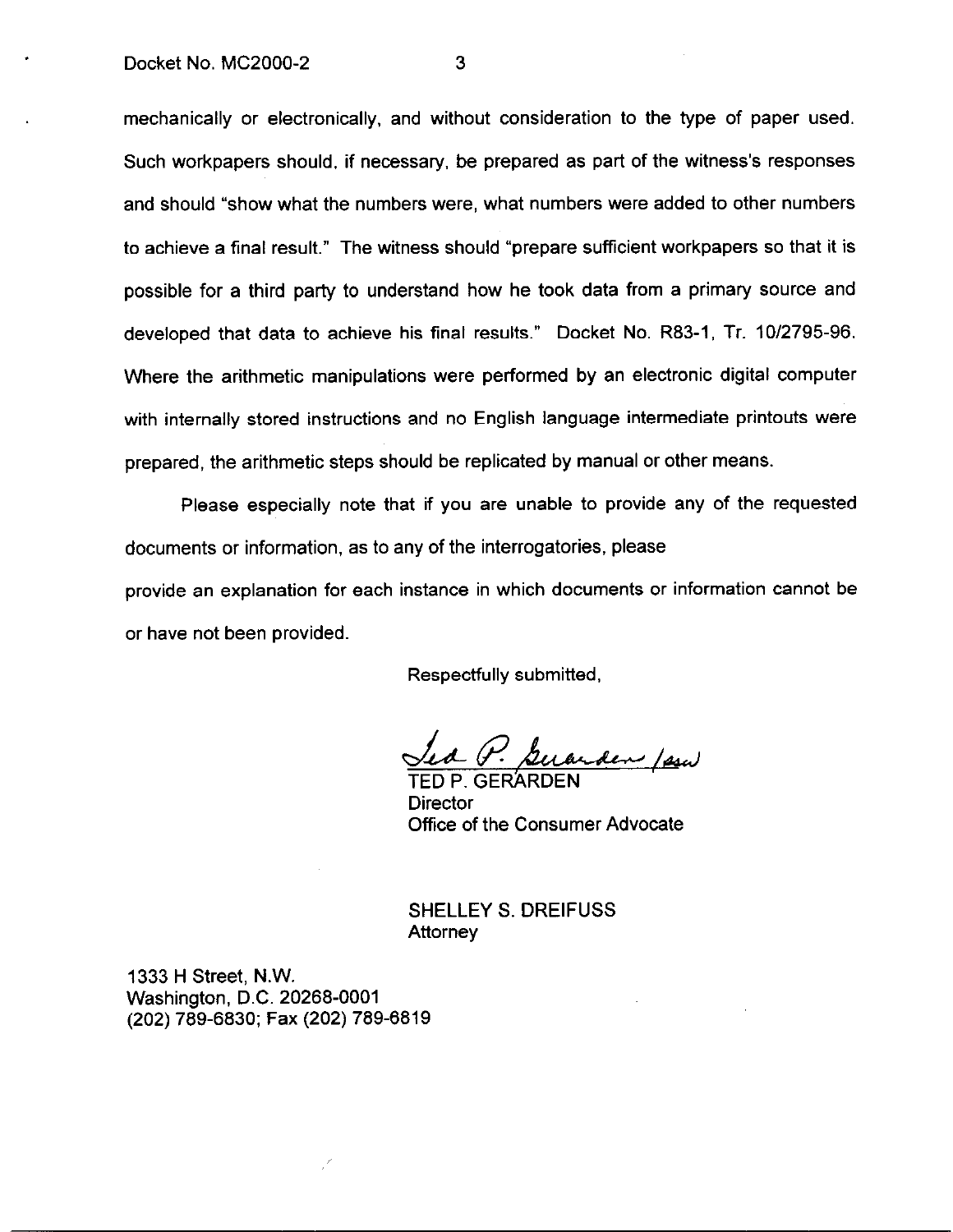mechanically or electronically, and without consideration to the type of paper used. Such workpapers should, if necessary, be prepared as part of the witness's responses and should "show what the numbers were, what numbers were added to other numbers to achieve a final result." The witness should "prepare sufficient workpapers so that it is possible for a third party to understand how he took data from a primary source and developed that data to achieve his final results." Docket No. R83-1, Tr. 10/2795-96. Where the arithmetic manipulations were performed by an electronic digital computer with internally stored instructions and no English language intermediate printouts were prepared, the arithmetic steps should be replicated by manual or other means.

Please especially note that if you are unable to provide any of the requested documents or information, as to any of the interrogatories, please provide an explanation for each instance in which documents or information cannot be or have not been provided.

Respectfully submitted,

Guarden / sew

TED P. GERAR **Director** Office of the Consumer Advocate

SHELLEY S. DREIFUSS Attorney

1333 H Street, N.W. Washington, D.C. 20268-0001 (202) 789-6830; Fax (202) 789-6819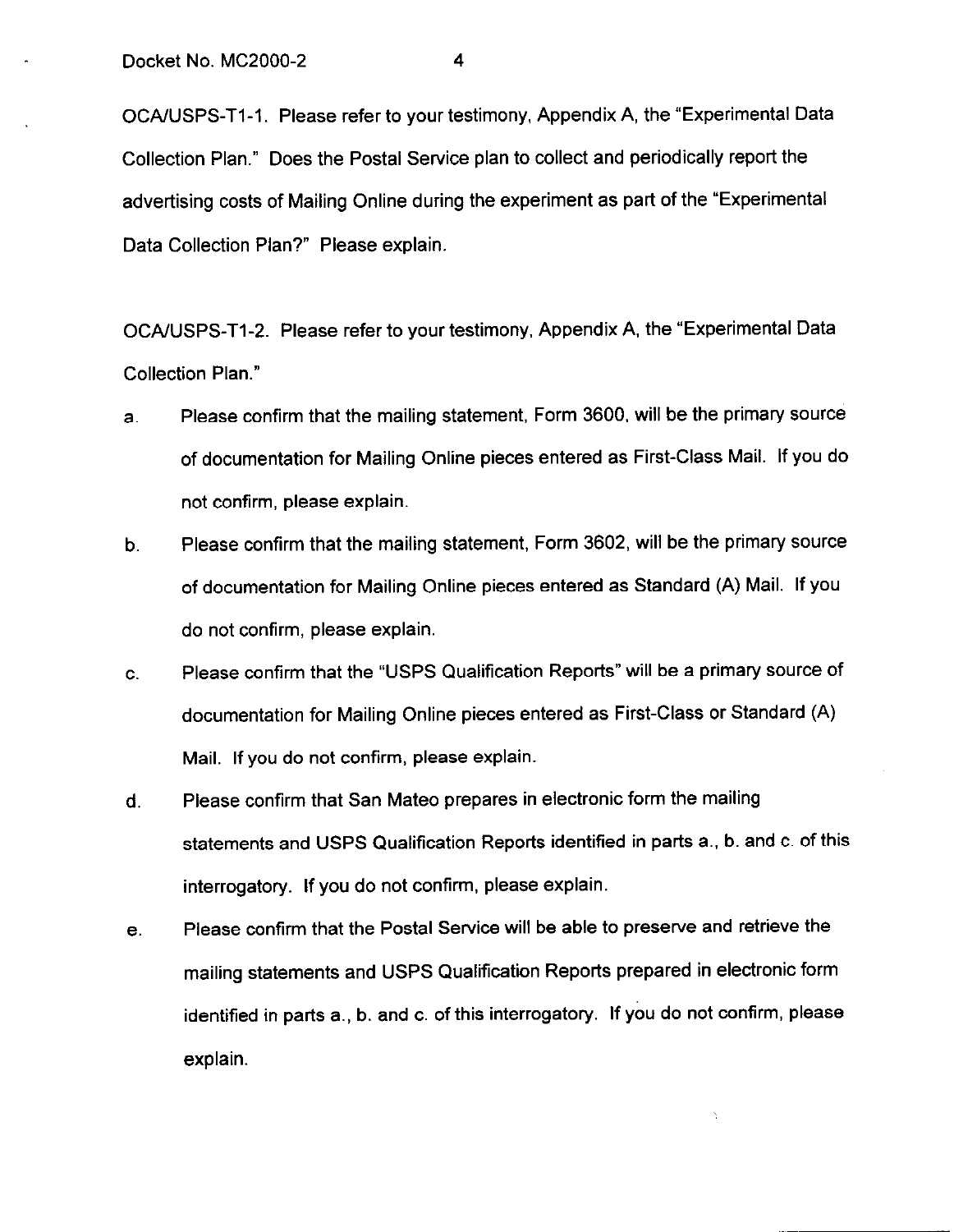OCA/USPS-T1-1. Please refer to your testimony, Appendix A, the "Experimental Data Collection Plan." Does the Postal Service plan to collect and periodically report the advertising costs of Mailing Online during the experiment as part of the "Experimental Data Collection Plan?" Please explain.

OCA/USPS-T1-2. Please refer to your testimony, Appendix A, the "Experimental Data Collection Plan."

- a. Please confirm that the mailing statement, Form 3600, will be the primary source of documentation for Mailing Online pieces entered as First-Class Mail. If you do not confirm, please explain.
- b. Please confirm that the mailing statement, Form 3602, will be the primary source of documentation for Mailing Online pieces entered as Standard (A) Mail. If you do not confirm, please explain.
- C. Please confirm that the "USPS Qualification Reports" will be a primary source of documentation for Mailing Online pieces entered as First-Class or Standard (A) Mail. If you do not confirm, please explain.
- d. Please confirm that San Mateo prepares in electronic form the mailing statements and USPS Qualification Reports identified in parts a., b. and c. of this interrogatory. If you do not confirm, please explain.
- e. Please confirm that the Postal Service will be able to preserve and retrieve the mailing statements and USPS Qualification Reports prepared in electronic form identified in parts a., b. and c. of this interrogatory. If you do not confirm, please explain.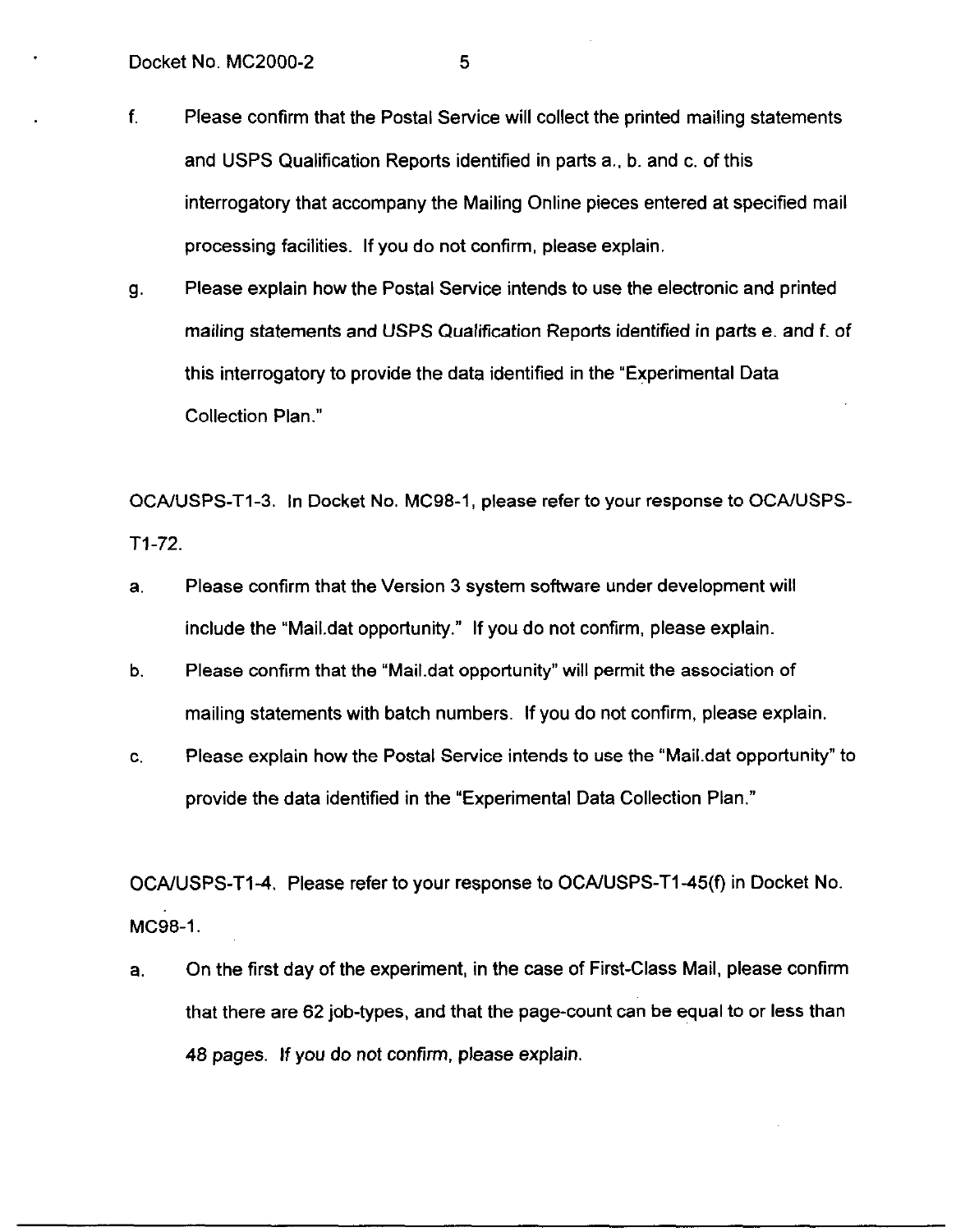- f. Please confirm that the Postal Service will collect the printed mailing statements and USPS Qualification Reports identified in parts a., b. and c. of this interrogatory that accompany the Mailing Online pieces entered at specified mail processing facilities. If you do not confirm, please explain.
- 9. Please explain how the Postal Service intends to use the electronic and printed mailing statements and USPS Qualification Reports identified in parts e. and f. of this interrogatory to provide the data identified in the "Experimental Data Collection Plan."

OCAAJSPS-Tl-3. In Docket No. MC98-1, please refer to your response to OCAIUSPS-Tl-72.

- a. Please confirm that the Version 3 system software under development will include the "Mail.dat opportunity." If you do not confirm, please explain.
- b. Please confirm that the "MaiLdat opportunity" will permit the association of mailing statements with batch numbers. If you do not confirm, please explain.
- C. Please explain how the Postal Service intends to use the "MaiLdat opportunity" to provide the data identified in the "Experimental Data Collection Plan."

OCA/USPS-T1-4. Please refer to your response to OCA/USPS-T1-45(f) in Docket No. MCg8-1.

a. On the first day of the experiment, in the case of First-Class Mail, please confirm that there are 62 job-types, and that the page-count can be equal to or less than 48 pages. If you do not confirm, please explain.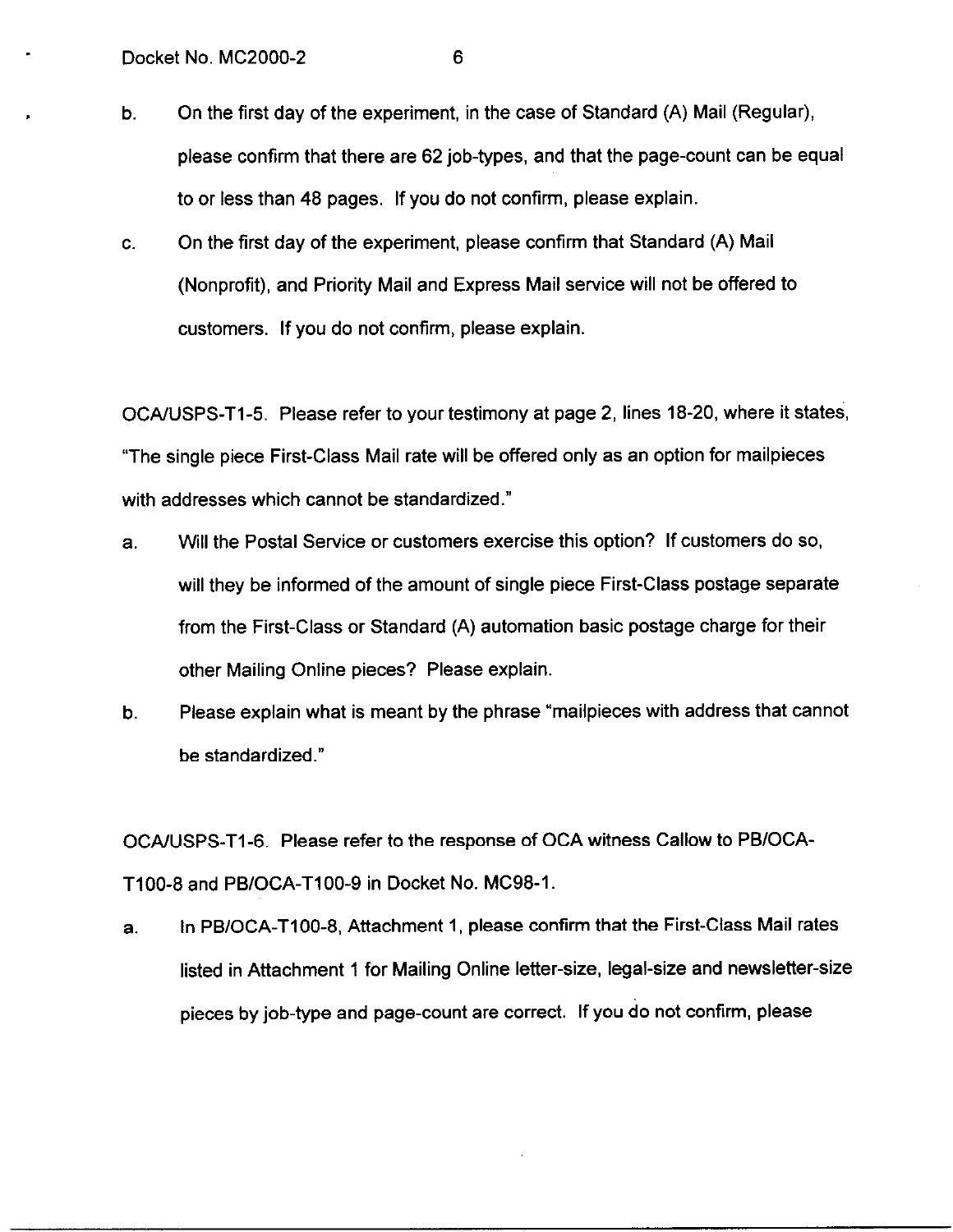- b. On the first day of the experiment, in the case of Standard (A) Mail (Regular), please confirm that there are 62 job-types, and that the page-count can be equal to or less than 48 pages. If you do not confirm, please explain.
- C. On the first day of the experiment, please confirm that Standard (A) Mail (Nonprofit), and Priority Mail and Express Mail service will not be offered to customers. If you do not confirm, please explain.

OCAAJSPS-Tl-5. Please refer to your testimony at page 2, lines 18-20, where it states, "The single piece First-Class Mail rate will be offered only as an option for mailpieces with addresses which cannot be standardized."

- a. Will the Postal Service or customers exercise this option? If customers do so, will they be informed of the amount of single piece First-Class postage separate from the First-Class or Standard (A) automation basic postage charge for their other Mailing Online pieces? Please explain.
- b. Please explain what is meant by the phrase "mailpieces with address that cannot be standardized."

OCA/USPS-Tl-6. Please refer to the response of OCA witness Callow to PB/OCA-T100-8 and PB/OCA-T100-9 in Docket No. MC98-1.

a. In PBIOCA-TIOO-8, Attachment 1, please confirm that the First-Class Mail rates listed in Attachment 1 for Mailing Online letter-size, legal-size and newsletter-size pieces by job-type and page-count are correct. If you do not confirm, please